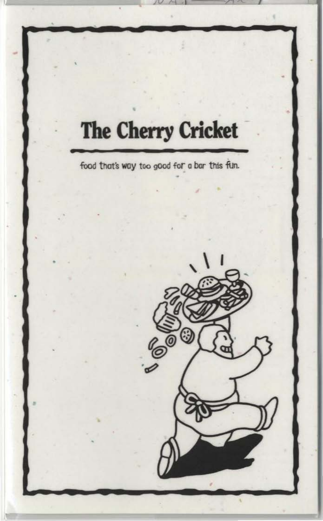# **The Cherry Cricket**

food that's way too good for a bar this fun.

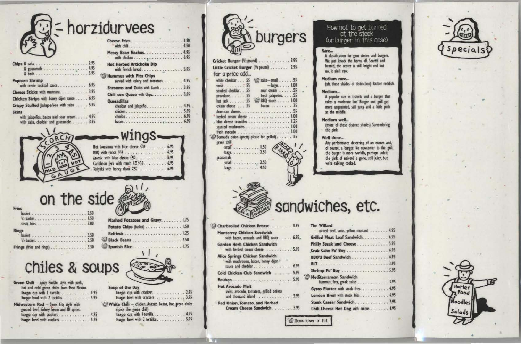= horzidurvees

| & guacamole 4.95                                                                                      |  |
|-------------------------------------------------------------------------------------------------------|--|
| <b>Popcorn Shrimp</b><br>with creole cocktail sauce 6.95                                              |  |
| Cheese Sticks with marinara 3.95                                                                      |  |
| Chicken Strips with honey dijon sauce 6.95                                                            |  |
| Crispy Stuffed Jalapeños with salsa 5.95                                                              |  |
| <b>Skins</b><br>with jalapeños, bacon and sour cream. 4.95<br>with salsa, cheddar and guacamole. 3.95 |  |

| Messy Bean Nachos. 499                                          |  |
|-----------------------------------------------------------------|--|
| <b>Hot Herbed Artichoke Dip</b>                                 |  |
| Hummus with Pita Chips<br>served with celery and tomatoes. 4.99 |  |
| Shrooms and Zuks with Ranch 3.99                                |  |
| Chili con Queso with Unps. , 3,99                               |  |
| <b>Quesadillas</b><br>cheddar and jalapeno 4,99                 |  |
|                                                                 |  |

| -Wings-                                 |
|-----------------------------------------|
| Hot Louisiana with blue cheese (4) 6.95 |
| BBQ with ranch (4) 6.95                 |
|                                         |
| Caribbean Jerk with ranch (3 1/2) 6.95  |
| Teriyaki with honey dijon (3) 6.95      |

# on the side extends

|                               | w                           |
|-------------------------------|-----------------------------|
|                               | <b>Mashed Potatoes:</b>     |
|                               | <b>Potato Chips (basket</b> |
| <b>Rings</b>                  | Refrieds                    |
|                               |                             |
|                               | Black Beans                 |
| Frings (fries and rings) 3.50 | Spanish Rice                |

# chiles & soups

| Green Chili - spicy Pueblo style with pork, |  |
|---------------------------------------------|--|
| hot and mild green chiles from New Mexico.  |  |
| large cup with I tortilla 4.95              |  |
| huge bowl with 2 tortillas 5.95             |  |
| Midwestern Red - Sloux City style with      |  |
| ground beef, kidney beans and 10 spices.    |  |
| large cup with crackers 4.95                |  |
| huge bowl with crackers. 5.95               |  |
|                                             |  |

Fries





| Soup of the Day                                       |  |
|-------------------------------------------------------|--|
| large cup with crackers 2.9                           |  |
| huge bowl with crackers. 3.9                          |  |
| White Chili - chicken, Anasazi beans, hot green chile |  |
| (spicy like green chili)                              |  |
| large cup with I tortilla 4.9                         |  |
| huge bowl with 2 tortillas 5.9                        |  |



Cricket Burger (1/2 pound) . . . . . . . . . . . . . 3.95 Little Cricket Burger (V4 pound) . . . . . . . 2.95 for a price add... white cheddar . . . 55 5 salsa-small . . . . . . 55  $-$ large......  $1.00$  $3W33$ ........55 sour cream . . . . . 55 smoked cheddar. . . 55 fresh jalapeños. . . . 55 provolone. . . . . . . 55 hot jack . . . . . . . 55 <sup>2</sup><sup>3</sup> BBQ sauce . . . . . 1.00 cream cheese . . . 55 bacon . . . . . . . . . . . 75 herbed cream cheese . . . . . . . . . . . . . . . . . 1.00 blue cheese crumbles . . . . . . . . . . . . . . . . . 1.25 sauteed mushrooms . . . . . . . . . . . . . . . . . . 1.00 <sup>2</sup>Bermuda onion (pretty-please for grilled)....... 55 green chili small . . . . . . . . . . 1.50 large........... 2.50 guacamole small  $\ldots$  . . . . . . . . . 2.50 large........... 4.50

### How not to get burned at the steak (or burger in this case)

#### Rare...

A classification for gem stones and burgers. We just knock the horns off. Seared and heated, the center is still bright red but no, it ain't raw.

#### Medium rare...

(ah, these shades of distinction) Rather reddish.

#### Medium...

A popular size in t-shirts and a burger that takes a moderate line. Burger and grill get more acquainted, still juicy and a little pink<br>at the middle.

#### Medium well...

(more of those distinct shades) Surrendering the pink.

#### Well done...

Any performance deserving of an encore and, of course, a burger. No newcomer to the grill, the burger is more worldly, perhaps jaded; the pink of naiveté is gone, still juicy, but we're talking cooked.



|  |  | sandwiches, etc. |
|--|--|------------------|
|  |  |                  |

| Charbroiled Chicken Breast  4.95                                              | The         |
|-------------------------------------------------------------------------------|-------------|
| <b>Monterrey Chicken Sandwich</b><br>with bacon, avocado and BBQ sauce  6.95, | Grill       |
| Garden Herb Chicken Sandwich                                                  | Phil        |
| with herbed cream cheese  5.95                                                | Crat        |
| Alice Springs Chicken Sandwich                                                | <b>BBQ</b>  |
| with mushrooms, bacon, honey dijon *<br>sauce and cheddar 6.95                | <b>BLT</b>  |
|                                                                               | Shri        |
| Cold Chicken Club Sandwich  5.95                                              | Med         |
|                                                                               |             |
| <b>Hot Avocado Melt</b>                                                       |             |
| swiss, avocado, tomatoes, grilled onions                                      | Gyn         |
| and thousand island 3.95                                                      | Lon         |
| <b>Red Onion, Tomato, and Herbed</b>                                          | <b>Stea</b> |
| Cream Cheese Sandwich 3.95                                                    | Chil        |

| The Willard | corned beef, swiss, yellow mustard                         |  |  |  |  |
|-------------|------------------------------------------------------------|--|--|--|--|
|             | Grilled Meat Loaf Sandwich.                                |  |  |  |  |
|             | Philly Steak and Cheese                                    |  |  |  |  |
|             | Crab Cake Po' Boy                                          |  |  |  |  |
|             | BBQ'd Beef Sandwich                                        |  |  |  |  |
|             | <b>BLT</b>                                                 |  |  |  |  |
|             | Shrimp Po' Boy                                             |  |  |  |  |
|             | <b>Mediterranean Sandwich</b><br>hummus, feta, greek salad |  |  |  |  |
|             | Gyros Platter with steak fries.                            |  |  |  |  |
|             | London Broil with steak fries.                             |  |  |  |  |
|             | Steak Caesar Sandwich                                      |  |  |  |  |
|             | Chili Cheese Hot Dog with onions                           |  |  |  |  |
|             |                                                            |  |  |  |  |

thems lower in fat

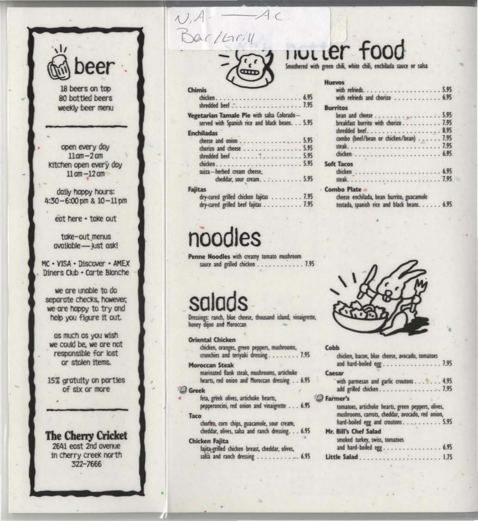eer

18 beers on top 80 bottled beers weekly beer menu

open every day  $11$  am $-2$  am kitchen open every day  $11$  am  $-12$  am

daily happy hours:  $4:30 - 6:00$  pm &  $10 - 11$  pm

eat here - take out

take-out menus available - just ask!

MC - VISA - Discover - AMEX Diners Club - Carte Blanche

we are unable to do separate checks, however, we are happy to try and help you figure it out.

as much as you wish we could be, we are not responsible for lost or stolen items.

15% gratuity on parties of six or more

**The Cherry Cricket** 2641 east 2nd avenue in cherry creek north 322-7666

# Barlarik



| himis<br>shredded beef 7.95                                                                                                                     |  |
|-------------------------------------------------------------------------------------------------------------------------------------------------|--|
| egetarian Tamale Pie with salsa Colorado-<br>served with Spanish rice and black beans. 5.95                                                     |  |
| <b>inchiladas</b><br>cheese and onion 5.95<br>chorizo and cheese 5.95<br>chicken5.95<br>suiza-herbed cream cheese,<br>cheddar, sour cream. 5.95 |  |
| ajitas<br>dry-cured grilled chicken fajitas 7.95<br>dry-cured grilled beef fajitas 7.95                                                         |  |

# noodles

Penne Noodles with creamy tomato mushroom sauce and grilled chicken . . . . . . . . . . . . 7.95

Dressings: ranch, blue cheese, thousand island, vinaigrette, honey dijon and Moroccan

**Oriental Chicken** chicken, oranges, green peppers, mushrooms,

crunchies and teriyaki dressing........ 7.95

**Moroccan Steak** marinated flank steak, mushrooms, artichoke hearts, red onion and Moroccan dressing . . 6.95

#### **Greek**

feta, greek olives, artichoke hearts, pepperoncini, red onion and vinaigrette . . . 6.95

#### Taco

chorizo, corn chips, guacamole, sour cream, cheddar, olives, salsa and ranch dressing. . . 6.95

#### Chicken Fajita

fajita-grilled chicken breast, cheddar, olives, salsa and ranch dressing . . . . . . . . . . . . 6.95

### INVLLET food

Smothered with green chili, white chili, enchilada sauce or salsa

| <b>Huevos</b><br>with refrieds and chorizo  6.95                                                               |  |
|----------------------------------------------------------------------------------------------------------------|--|
| <b>Burritos</b>                                                                                                |  |
|                                                                                                                |  |
| breakfast burrito with chorizo 7.95                                                                            |  |
|                                                                                                                |  |
| combo (beef/bean or chicken/bean) 7.95                                                                         |  |
|                                                                                                                |  |
|                                                                                                                |  |
| <b>Soft Tacos</b>                                                                                              |  |
|                                                                                                                |  |
|                                                                                                                |  |
| <b>Combo Plate</b><br>cheese enchilada, bean burrito, guacamole<br>tostada, spanish rice and black beans. 6.95 |  |



| Cobb                                                                                                   |
|--------------------------------------------------------------------------------------------------------|
| chicken, bacon, blue cheese, avocado, tomatoes<br>and hard-boiled egg7.95                              |
| Caesar                                                                                                 |
| with parmesan and garlic croutons 4.95                                                                 |
| add grilled chicken7.95                                                                                |
| <b>Farmer's</b>                                                                                        |
| tomatoes, artichoke hearts, green peppers, olives,<br>mushrooms, carrots, cheddar, avocado, red onion, |
| hard-boiled egg and croutons. 5.95                                                                     |
| Mr. Bill's Chef Salad                                                                                  |
| smoked turkey, swiss, tomatoes<br>and hard-boiled egg 6.95                                             |
|                                                                                                        |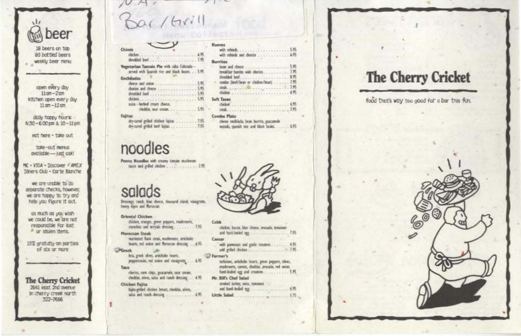

18 beers on top 80 bottled beers weekly beer nervi

open every day  $11$  am $-2$  am kitchen open every day.  $11$  am  $-12$  am

daily happy hours:  $4:30 - 6:00$  pm  $3:10 - 11$  pm

eat here - take out

toke-out menus ovatioble -- just osk!

MC . VISA - Discover + AMEX Diners Cub - Oprie Bloriche

we are unable to do separate checks, however, we are happy to try and help you floure it out.

as much as you wish we could be, we are not responsible for lost a or stolen items.

15% arotulty on parties of six or nore

The Cherry Cricket 2601 eest 2nd menue In cherry creek north 322-7666

| M <sub>2</sub> |  |
|----------------|--|
| Bar/Grill      |  |

Veretarian Tamale Ple with sits Cibratssmed with Spanish rice and black beam. .

| starian Tamale Ple with take Cikrada-<br>smed with liquids rice and black beam. 5.95<br>usina-herbed cream cheese, | <b>CHUR YOU</b><br>Burritos<br>Syndical bank, and a superior control of the U.S.<br>costs the filters or cholon/heat  7.95<br><b>REAL AND AND PROPERTY OF PERSONAL PROPERTY.</b><br>Soft Taces |
|--------------------------------------------------------------------------------------------------------------------|------------------------------------------------------------------------------------------------------------------------------------------------------------------------------------------------|
|                                                                                                                    | Combo Plata<br>chesa enchilada, bean burrits, pascanole<br>testudi, stands nor and black beam. 635                                                                                             |

### noodles

Chimis

**Enchiladas** 

Fallitan

Penne Noodles with crany tonute multrom 

### salads

Dynange rand, blue cheese, thousand island, visuagrette, havey dies and Meroccan

Oriental Chicken

chicken, oranges, grees peppers, mashments, modes as anxio dream ......... 7.95

#### Manazeum Staak

narismed flask strak, mathrages, articletie hearn, red union and Norsecan dressing .... 4.95. **Othersk** 

lets, greek alves, artichole-bearn, propertation, red asien and viraignette . . . . 6.95

#### Taco

- cherim, carn chips, guacamole, saur cream, cheddar, elses, salta and ranch dressing.... 4.95 Chicken Failta
- bits-eilef dickes brust, clublar, sines, talia and ranch dressing . . . . . . . . . . . . 495

### Coldo chidas, haces, blue cheese, procade, meanses

Caesar with parmeran and garlic triumes . . . . . . . . 435

**C** Farmer's teriatum, articholo: hearts, gives peppers, olives,

matroom, carots, cheddar, avacado, red seven, Mr. Bill's Chef Salad presied turkey nets, insurance and built holed are a control of

| a comparation of the company of the second company of the company of the company of the company of the company of the company of the company of the company of the company of the company of the company of the company of the |  |  |  |  |
|--------------------------------------------------------------------------------------------------------------------------------------------------------------------------------------------------------------------------------|--|--|--|--|
|                                                                                                                                                                                                                                |  |  |  |  |
|                                                                                                                                                                                                                                |  |  |  |  |
|                                                                                                                                                                                                                                |  |  |  |  |
|                                                                                                                                                                                                                                |  |  |  |  |

### The Cherry Cricket

food that's way too good for a bar this fun.